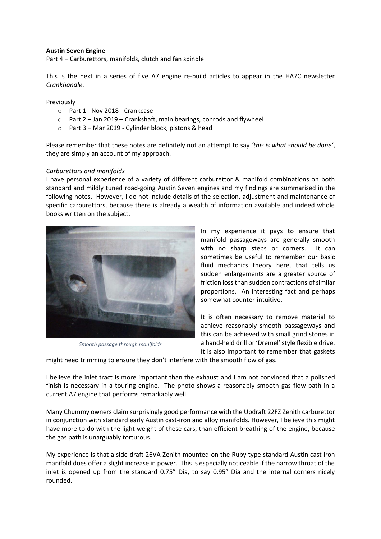# **Austin Seven Engine**

Part 4 – Carburettors, manifolds, clutch and fan spindle

This is the next in a series of five A7 engine re-build articles to appear in the HA7C newsletter *Crankhandle*.

### Previously

- o Part 1 Nov 2018 Crankcase
- o Part 2 Jan 2019 Crankshaft, main bearings, conrods and flywheel
- o Part 3 Mar 2019 Cylinder block, pistons & head

Please remember that these notes are definitely not an attempt to say *'this is what should be done'*, they are simply an account of my approach.

### *Carburettors and manifolds*

I have personal experience of a variety of different carburettor & manifold combinations on both standard and mildly tuned road-going Austin Seven engines and my findings are summarised in the following notes. However, I do not include details of the selection, adjustment and maintenance of specific carburettors, because there is already a wealth of information available and indeed whole books written on the subject.



*Smooth passage through manifolds*

In my experience it pays to ensure that manifold passageways are generally smooth with no sharp steps or corners. It can sometimes be useful to remember our basic fluid mechanics theory here, that tells us sudden enlargements are a greater source of friction loss than sudden contractions of similar proportions. An interesting fact and perhaps somewhat counter-intuitive.

It is often necessary to remove material to achieve reasonably smooth passageways and this can be achieved with small grind stones in a hand-held drill or 'Dremel' style flexible drive. It is also important to remember that gaskets

might need trimming to ensure they don't interfere with the smooth flow of gas.

I believe the inlet tract is more important than the exhaust and I am not convinced that a polished finish is necessary in a touring engine. The photo shows a reasonably smooth gas flow path in a current A7 engine that performs remarkably well.

Many Chummy owners claim surprisingly good performance with the Updraft 22FZ Zenith carburettor in conjunction with standard early Austin cast-iron and alloy manifolds. However, I believe this might have more to do with the light weight of these cars, than efficient breathing of the engine, because the gas path is unarguably torturous.

My experience is that a side-draft 26VA Zenith mounted on the Ruby type standard Austin cast iron manifold does offer a slight increase in power. This is especially noticeable if the narrow throat of the inlet is opened up from the standard 0.75" Dia, to say 0.95" Dia and the internal corners nicely rounded.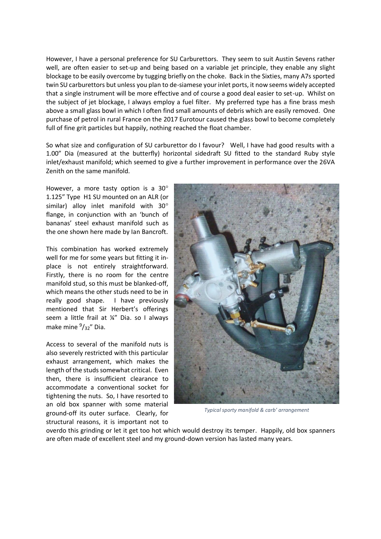However, I have a personal preference for SU Carburettors. They seem to suit Austin Sevens rather well, are often easier to set-up and being based on a variable jet principle, they enable any slight blockage to be easily overcome by tugging briefly on the choke. Back in the Sixties, many A7s sported twin SU carburettors but unless you plan to de-siamese your inlet ports, it now seems widely accepted that a single instrument will be more effective and of course a good deal easier to set-up. Whilst on the subject of jet blockage, I always employ a fuel filter. My preferred type has a fine brass mesh above a small glass bowl in which I often find small amounts of debris which are easily removed. One purchase of petrol in rural France on the 2017 Eurotour caused the glass bowl to become completely full of fine grit particles but happily, nothing reached the float chamber.

So what size and configuration of SU carburettor do I favour? Well, I have had good results with a 1.00" Dia (measured at the butterfly) horizontal sidedraft SU fitted to the standard Ruby style inlet/exhaust manifold; which seemed to give a further improvement in performance over the 26VA Zenith on the same manifold.

However, a more tasty option is a 30° 1.125" Type H1 SU mounted on an ALR (or similar) alloy inlet manifold with 30° flange, in conjunction with an 'bunch of bananas' steel exhaust manifold such as the one shown here made by Ian Bancroft.

This combination has worked extremely well for me for some years but fitting it inplace is not entirely straightforward. Firstly, there is no room for the centre manifold stud, so this must be blanked-off, which means the other studs need to be in really good shape. I have previously mentioned that Sir Herbert's offerings seem a little frail at ¼" Dia. so I always make mine <sup>9</sup>/<sub>32</sub>" Dia.

Access to several of the manifold nuts is also severely restricted with this particular exhaust arrangement, which makes the length of the studs somewhat critical. Even then, there is insufficient clearance to accommodate a conventional socket for tightening the nuts. So, I have resorted to an old box spanner with some material ground-off its outer surface. Clearly, for structural reasons, it is important not to



*Typical sporty manifold & carb' arrangement*

overdo this grinding or let it get too hot which would destroy its temper. Happily, old box spanners are often made of excellent steel and my ground-down version has lasted many years.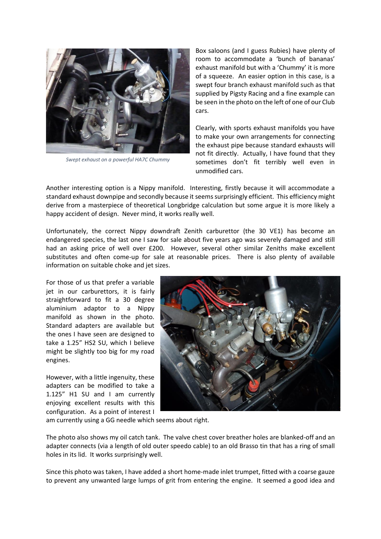

*Swept exhaust on a powerful HA7C Chummy*

Box saloons (and I guess Rubies) have plenty of room to accommodate a 'bunch of bananas' exhaust manifold but with a 'Chummy' it is more of a squeeze. An easier option in this case, is a swept four branch exhaust manifold such as that supplied by Pigsty Racing and a fine example can be seen in the photo on the left of one of our Club cars.

Clearly, with sports exhaust manifolds you have to make your own arrangements for connecting the exhaust pipe because standard exhausts will not fit directly. Actually, I have found that they sometimes don't fit terribly well even in unmodified cars.

Another interesting option is a Nippy manifold. Interesting, firstly because it will accommodate a standard exhaust downpipe and secondly because it seems surprisingly efficient. This efficiency might derive from a masterpiece of theoretical Longbridge calculation but some argue it is more likely a happy accident of design. Never mind, it works really well.

Unfortunately, the correct Nippy downdraft Zenith carburettor (the 30 VE1) has become an endangered species, the last one I saw for sale about five years ago was severely damaged and still had an asking price of well over £200. However, several other similar Zeniths make excellent substitutes and often come-up for sale at reasonable prices. There is also plenty of available information on suitable choke and jet sizes.

For those of us that prefer a variable jet in our carburettors, it is fairly straightforward to fit a 30 degree aluminium adaptor to a Nippy manifold as shown in the photo. Standard adapters are available but the ones I have seen are designed to take a 1.25" HS2 SU, which I believe might be slightly too big for my road engines.

However, with a little ingenuity, these adapters can be modified to take a 1.125" H1 SU and I am currently enjoying excellent results with this configuration. As a point of interest I



am currently using a GG needle which seems about right.

The photo also shows my oil catch tank. The valve chest cover breather holes are blanked-off and an adapter connects (via a length of old outer speedo cable) to an old Brasso tin that has a ring of small holes in its lid. It works surprisingly well.

Since this photo was taken, I have added a short home-made inlet trumpet, fitted with a coarse gauze to prevent any unwanted large lumps of grit from entering the engine. It seemed a good idea and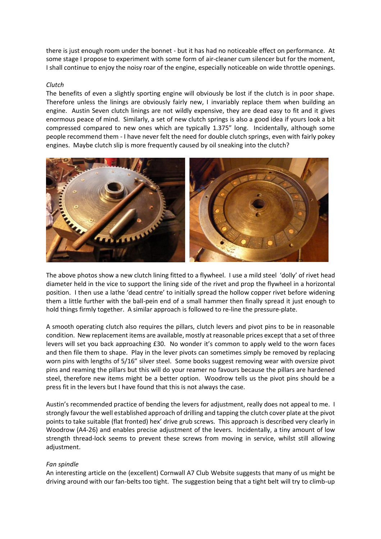there is just enough room under the bonnet - but it has had no noticeable effect on performance. At some stage I propose to experiment with some form of air-cleaner cum silencer but for the moment, I shall continue to enjoy the noisy roar of the engine, especially noticeable on wide throttle openings.

# *Clutch*

The benefits of even a slightly sporting engine will obviously be lost if the clutch is in poor shape. Therefore unless the linings are obviously fairly new, I invariably replace them when building an engine. Austin Seven clutch linings are not wildly expensive, they are dead easy to fit and it gives enormous peace of mind. Similarly, a set of new clutch springs is also a good idea if yours look a bit compressed compared to new ones which are typically 1.375" long. Incidentally, although some people recommend them - I have never felt the need for double clutch springs, even with fairly pokey engines. Maybe clutch slip is more frequently caused by oil sneaking into the clutch?



The above photos show a new clutch lining fitted to a flywheel. I use a mild steel 'dolly' of rivet head diameter held in the vice to support the lining side of the rivet and prop the flywheel in a horizontal position. I then use a lathe 'dead centre' to initially spread the hollow copper rivet before widening them a little further with the ball-pein end of a small hammer then finally spread it just enough to hold things firmly together. A similar approach is followed to re-line the pressure-plate.

A smooth operating clutch also requires the pillars, clutch levers and pivot pins to be in reasonable condition. New replacement items are available, mostly at reasonable prices except that a set of three levers will set you back approaching £30. No wonder it's common to apply weld to the worn faces and then file them to shape. Play in the lever pivots can sometimes simply be removed by replacing worn pins with lengths of 5/16" silver steel. Some books suggest removing wear with oversize pivot pins and reaming the pillars but this will do your reamer no favours because the pillars are hardened steel, therefore new items might be a better option. Woodrow tells us the pivot pins should be a press fit in the levers but I have found that this is not always the case.

Austin's recommended practice of bending the levers for adjustment, really does not appeal to me. I strongly favour the well established approach of drilling and tapping the clutch cover plate at the pivot points to take suitable (flat fronted) hex' drive grub screws. This approach is described very clearly in Woodrow (A4-26) and enables precise adjustment of the levers. Incidentally, a tiny amount of low strength thread-lock seems to prevent these screws from moving in service, whilst still allowing adjustment.

# *Fan spindle*

An interesting article on the (excellent) Cornwall A7 Club Website suggests that many of us might be driving around with our fan-belts too tight. The suggestion being that a tight belt will try to climb-up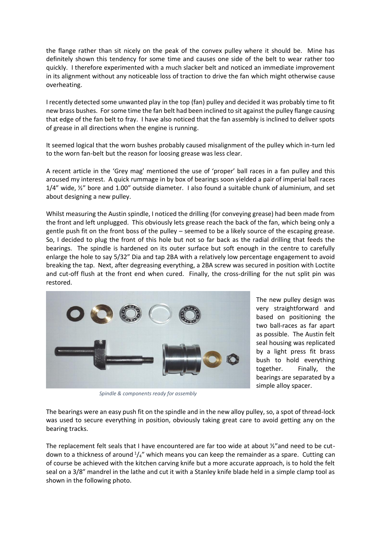the flange rather than sit nicely on the peak of the convex pulley where it should be. Mine has definitely shown this tendency for some time and causes one side of the belt to wear rather too quickly. I therefore experimented with a much slacker belt and noticed an immediate improvement in its alignment without any noticeable loss of traction to drive the fan which might otherwise cause overheating.

I recently detected some unwanted play in the top (fan) pulley and decided it was probably time to fit new brass bushes. For some time the fan belt had been inclined to sit against the pulley flange causing that edge of the fan belt to fray. I have also noticed that the fan assembly is inclined to deliver spots of grease in all directions when the engine is running.

It seemed logical that the worn bushes probably caused misalignment of the pulley which in-turn led to the worn fan-belt but the reason for loosing grease was less clear.

A recent article in the 'Grey mag' mentioned the use of 'proper' ball races in a fan pulley and this aroused my interest. A quick rummage in by box of bearings soon yielded a pair of imperial ball races 1/4" wide, ½" bore and 1.00" outside diameter. I also found a suitable chunk of aluminium, and set about designing a new pulley.

Whilst measuring the Austin spindle, I noticed the drilling (for conveying grease) had been made from the front and left unplugged. This obviously lets grease reach the back of the fan, which being only a gentle push fit on the front boss of the pulley – seemed to be a likely source of the escaping grease. So, I decided to plug the front of this hole but not so far back as the radial drilling that feeds the bearings. The spindle is hardened on its outer surface but soft enough in the centre to carefully enlarge the hole to say 5/32" Dia and tap 2BA with a relatively low percentage engagement to avoid breaking the tap. Next, after degreasing everything, a 2BA screw was secured in position with Loctite and cut-off flush at the front end when cured. Finally, the cross-drilling for the nut split pin was restored.



The new pulley design was very straightforward and based on positioning the two ball-races as far apart as possible. The Austin felt seal housing was replicated by a light press fit brass bush to hold everything together. Finally, the bearings are separated by a simple alloy spacer.

*Spindle & components ready for assembly*

The bearings were an easy push fit on the spindle and in the new alloy pulley, so, a spot of thread-lock was used to secure everything in position, obviously taking great care to avoid getting any on the bearing tracks.

The replacement felt seals that I have encountered are far too wide at about ½"and need to be cutdown to a thickness of around  $1/4$ " which means you can keep the remainder as a spare. Cutting can of course be achieved with the kitchen carving knife but a more accurate approach, is to hold the felt seal on a 3/8" mandrel in the lathe and cut it with a Stanley knife blade held in a simple clamp tool as shown in the following photo.